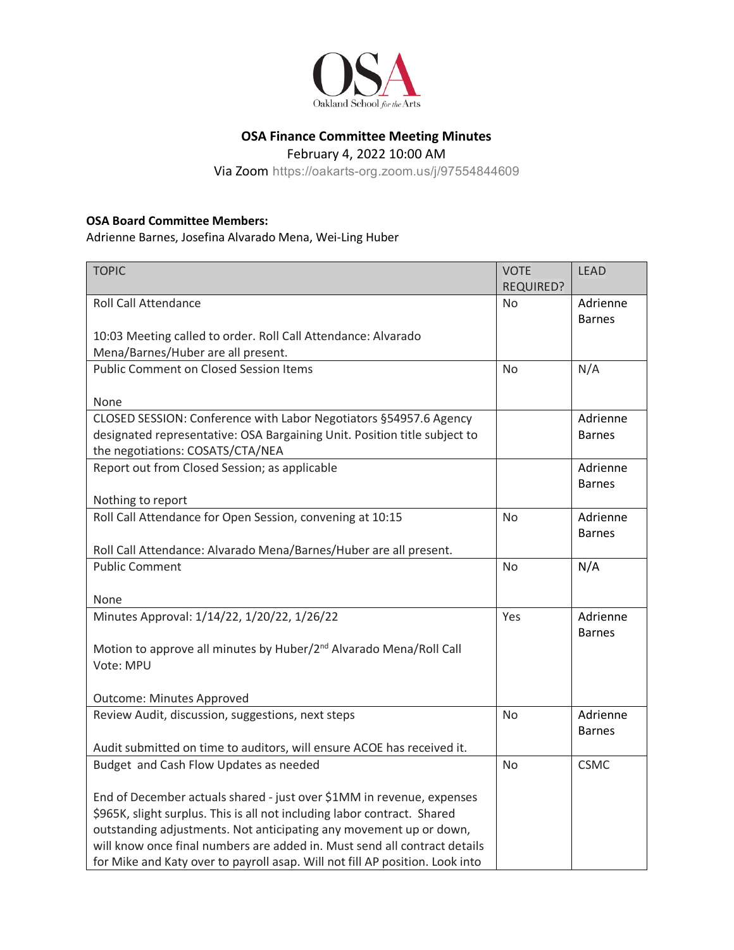

## **OSA Finance Committee Meeting Minutes**

February 4, 2022 10:00 AM

Via Zoom https://oakarts-org.zoom.us/j/97554844609

## **OSA Board Committee Members:**

Adrienne Barnes, Josefina Alvarado Mena, Wei-Ling Huber

| <b>TOPIC</b>                                                                                                                                                                                                                                                                                                                                                                         | <b>VOTE</b>      | <b>LEAD</b>   |
|--------------------------------------------------------------------------------------------------------------------------------------------------------------------------------------------------------------------------------------------------------------------------------------------------------------------------------------------------------------------------------------|------------------|---------------|
|                                                                                                                                                                                                                                                                                                                                                                                      | <b>REQUIRED?</b> |               |
| <b>Roll Call Attendance</b>                                                                                                                                                                                                                                                                                                                                                          | N <sub>o</sub>   | Adrienne      |
|                                                                                                                                                                                                                                                                                                                                                                                      |                  | <b>Barnes</b> |
| 10:03 Meeting called to order. Roll Call Attendance: Alvarado                                                                                                                                                                                                                                                                                                                        |                  |               |
| Mena/Barnes/Huber are all present.                                                                                                                                                                                                                                                                                                                                                   |                  |               |
| <b>Public Comment on Closed Session Items</b>                                                                                                                                                                                                                                                                                                                                        | No               | N/A           |
|                                                                                                                                                                                                                                                                                                                                                                                      |                  |               |
| None                                                                                                                                                                                                                                                                                                                                                                                 |                  |               |
| CLOSED SESSION: Conference with Labor Negotiators §54957.6 Agency                                                                                                                                                                                                                                                                                                                    |                  | Adrienne      |
| designated representative: OSA Bargaining Unit. Position title subject to                                                                                                                                                                                                                                                                                                            |                  | <b>Barnes</b> |
| the negotiations: COSATS/CTA/NEA                                                                                                                                                                                                                                                                                                                                                     |                  |               |
| Report out from Closed Session; as applicable                                                                                                                                                                                                                                                                                                                                        |                  | Adrienne      |
|                                                                                                                                                                                                                                                                                                                                                                                      |                  | <b>Barnes</b> |
| Nothing to report                                                                                                                                                                                                                                                                                                                                                                    |                  |               |
| Roll Call Attendance for Open Session, convening at 10:15                                                                                                                                                                                                                                                                                                                            | <b>No</b>        | Adrienne      |
|                                                                                                                                                                                                                                                                                                                                                                                      |                  | <b>Barnes</b> |
| Roll Call Attendance: Alvarado Mena/Barnes/Huber are all present.                                                                                                                                                                                                                                                                                                                    |                  |               |
| <b>Public Comment</b>                                                                                                                                                                                                                                                                                                                                                                | <b>No</b>        | N/A           |
|                                                                                                                                                                                                                                                                                                                                                                                      |                  |               |
| None                                                                                                                                                                                                                                                                                                                                                                                 |                  |               |
| Minutes Approval: 1/14/22, 1/20/22, 1/26/22                                                                                                                                                                                                                                                                                                                                          | Yes              | Adrienne      |
|                                                                                                                                                                                                                                                                                                                                                                                      |                  | <b>Barnes</b> |
| Motion to approve all minutes by Huber/2 <sup>nd</sup> Alvarado Mena/Roll Call                                                                                                                                                                                                                                                                                                       |                  |               |
| Vote: MPU                                                                                                                                                                                                                                                                                                                                                                            |                  |               |
|                                                                                                                                                                                                                                                                                                                                                                                      |                  |               |
| <b>Outcome: Minutes Approved</b>                                                                                                                                                                                                                                                                                                                                                     |                  |               |
| Review Audit, discussion, suggestions, next steps                                                                                                                                                                                                                                                                                                                                    | No               | Adrienne      |
|                                                                                                                                                                                                                                                                                                                                                                                      |                  | <b>Barnes</b> |
| Audit submitted on time to auditors, will ensure ACOE has received it.                                                                                                                                                                                                                                                                                                               |                  |               |
| Budget and Cash Flow Updates as needed                                                                                                                                                                                                                                                                                                                                               | <b>No</b>        | <b>CSMC</b>   |
|                                                                                                                                                                                                                                                                                                                                                                                      |                  |               |
|                                                                                                                                                                                                                                                                                                                                                                                      |                  |               |
|                                                                                                                                                                                                                                                                                                                                                                                      |                  |               |
|                                                                                                                                                                                                                                                                                                                                                                                      |                  |               |
|                                                                                                                                                                                                                                                                                                                                                                                      |                  |               |
|                                                                                                                                                                                                                                                                                                                                                                                      |                  |               |
| End of December actuals shared - just over \$1MM in revenue, expenses<br>\$965K, slight surplus. This is all not including labor contract. Shared<br>outstanding adjustments. Not anticipating any movement up or down,<br>will know once final numbers are added in. Must send all contract details<br>for Mike and Katy over to payroll asap. Will not fill AP position. Look into |                  |               |